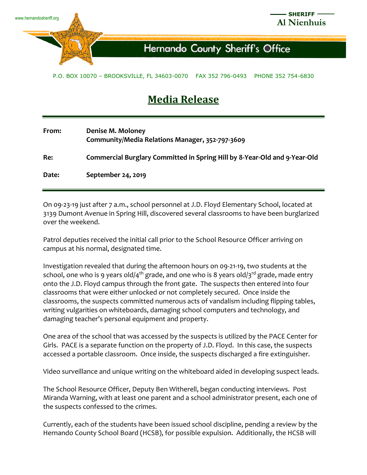

## Hernando County Sheriff's Office

## P.O. BOX 10070 – BROOKSVILLE, FL 34603-0070 FAX 352 796-0493 PHONE 352 754-6830

## **Media Release**

| From: | Denise M. Moloney<br>Community/Media Relations Manager, 352-797-3609      |
|-------|---------------------------------------------------------------------------|
| Re:   | Commercial Burglary Committed in Spring Hill by 8-Year-Old and 9-Year-Old |
| Date: | September 24, 2019                                                        |

On 09-23-19 just after 7 a.m., school personnel at J.D. Floyd Elementary School, located at 3139 Dumont Avenue in Spring Hill, discovered several classrooms to have been burglarized over the weekend.

Patrol deputies received the initial call prior to the School Resource Officer arriving on campus at his normal, designated time.

Investigation revealed that during the afternoon hours on 09-21-19, two students at the school, one who is 9 years old/4<sup>th</sup> grade, and one who is 8 years old/3<sup>rd</sup> grade, made entry onto the J.D. Floyd campus through the front gate. The suspects then entered into four classrooms that were either unlocked or not completely secured. Once inside the classrooms, the suspects committed numerous acts of vandalism including flipping tables, writing vulgarities on whiteboards, damaging school computers and technology, and damaging teacher's personal equipment and property.

One area of the school that was accessed by the suspects is utilized by the PACE Center for Girls. PACE is a separate function on the property of J.D. Floyd. In this case, the suspects accessed a portable classroom. Once inside, the suspects discharged a fire extinguisher.

Video surveillance and unique writing on the whiteboard aided in developing suspect leads.

The School Resource Officer, Deputy Ben Witherell, began conducting interviews. Post Miranda Warning, with at least one parent and a school administrator present, each one of the suspects confessed to the crimes.

Currently, each of the students have been issued school discipline, pending a review by the Hernando County School Board (HCSB), for possible expulsion. Additionally, the HCSB will